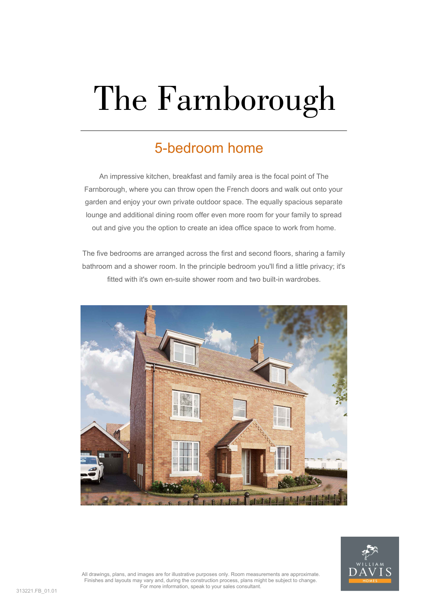# The Farnborough

#### 5-bedroom home

An impressive kitchen, breakfast and family area is the focal point of The Farnborough, where you can throw open the French doors and walk out onto your garden and enjoy your own private outdoor space. The equally spacious separate lounge and additional dining room offer even more room for your family to spread out and give you the option to create an idea office space to work from home.

The five bedrooms are arranged across the first and second floors, sharing a family bathroom and a shower room. In the principle bedroom you'll find a little privacy; it's fitted with it's own en-suite shower room and two built-in wardrobes.





All drawings, plans, and images are for illustrative purposes only. Room measurements are approximate. Finishes and layouts may vary and, during the construction process, plans might be subject to change. For more information, speak to your sales consultant.